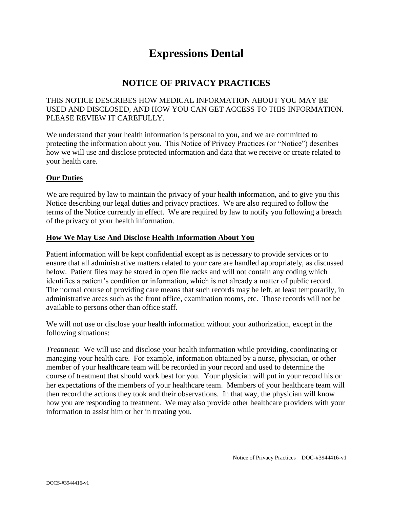# **Expressions Dental**

### **NOTICE OF PRIVACY PRACTICES**

#### THIS NOTICE DESCRIBES HOW MEDICAL INFORMATION ABOUT YOU MAY BE USED AND DISCLOSED, AND HOW YOU CAN GET ACCESS TO THIS INFORMATION. PLEASE REVIEW IT CAREFULLY.

We understand that your health information is personal to you, and we are committed to protecting the information about you. This Notice of Privacy Practices (or "Notice") describes how we will use and disclose protected information and data that we receive or create related to your health care.

#### **Our Duties**

We are required by law to maintain the privacy of your health information, and to give you this Notice describing our legal duties and privacy practices. We are also required to follow the terms of the Notice currently in effect. We are required by law to notify you following a breach of the privacy of your health information.

#### **How We May Use And Disclose Health Information About You**

Patient information will be kept confidential except as is necessary to provide services or to ensure that all administrative matters related to your care are handled appropriately, as discussed below. Patient files may be stored in open file racks and will not contain any coding which identifies a patient's condition or information, which is not already a matter of public record. The normal course of providing care means that such records may be left, at least temporarily, in administrative areas such as the front office, examination rooms, etc. Those records will not be available to persons other than office staff.

We will not use or disclose your health information without your authorization, except in the following situations:

*Treatment*: We will use and disclose your health information while providing, coordinating or managing your health care. For example, information obtained by a nurse, physician, or other member of your healthcare team will be recorded in your record and used to determine the course of treatment that should work best for you. Your physician will put in your record his or her expectations of the members of your healthcare team. Members of your healthcare team will then record the actions they took and their observations. In that way, the physician will know how you are responding to treatment. We may also provide other healthcare providers with your information to assist him or her in treating you.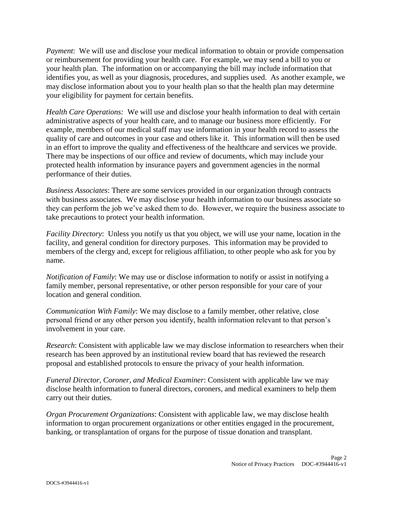*Payment*: We will use and disclose your medical information to obtain or provide compensation or reimbursement for providing your health care. For example, we may send a bill to you or your health plan. The information on or accompanying the bill may include information that identifies you, as well as your diagnosis, procedures, and supplies used. As another example, we may disclose information about you to your health plan so that the health plan may determine your eligibility for payment for certain benefits.

*Health Care Operations:* We will use and disclose your health information to deal with certain administrative aspects of your health care, and to manage our business more efficiently. For example, members of our medical staff may use information in your health record to assess the quality of care and outcomes in your case and others like it. This information will then be used in an effort to improve the quality and effectiveness of the healthcare and services we provide. There may be inspections of our office and review of documents, which may include your protected health information by insurance payers and government agencies in the normal performance of their duties.

*Business Associates*: There are some services provided in our organization through contracts with business associates. We may disclose your health information to our business associate so they can perform the job we've asked them to do. However, we require the business associate to take precautions to protect your health information.

*Facility Directory*: Unless you notify us that you object, we will use your name, location in the facility, and general condition for directory purposes. This information may be provided to members of the clergy and, except for religious affiliation, to other people who ask for you by name.

*Notification of Family*: We may use or disclose information to notify or assist in notifying a family member, personal representative, or other person responsible for your care of your location and general condition.

*Communication With Family*: We may disclose to a family member, other relative, close personal friend or any other person you identify, health information relevant to that person's involvement in your care.

*Research*: Consistent with applicable law we may disclose information to researchers when their research has been approved by an institutional review board that has reviewed the research proposal and established protocols to ensure the privacy of your health information.

*Funeral Director, Coroner, and Medical Examiner*: Consistent with applicable law we may disclose health information to funeral directors, coroners, and medical examiners to help them carry out their duties.

*Organ Procurement Organizations*: Consistent with applicable law, we may disclose health information to organ procurement organizations or other entities engaged in the procurement, banking, or transplantation of organs for the purpose of tissue donation and transplant.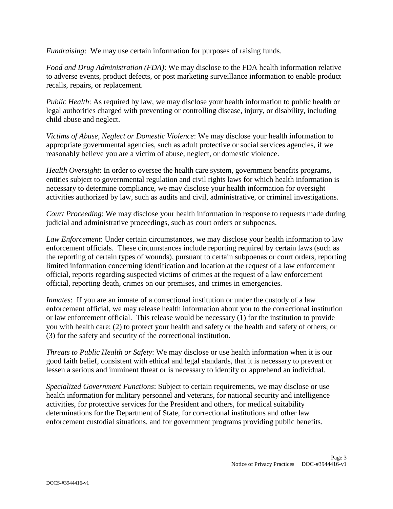*Fundraising*: We may use certain information for purposes of raising funds.

*Food and Drug Administration (FDA)*: We may disclose to the FDA health information relative to adverse events, product defects, or post marketing surveillance information to enable product recalls, repairs, or replacement.

*Public Health*: As required by law, we may disclose your health information to public health or legal authorities charged with preventing or controlling disease, injury, or disability, including child abuse and neglect.

*Victims of Abuse, Neglect or Domestic Violence*: We may disclose your health information to appropriate governmental agencies, such as adult protective or social services agencies, if we reasonably believe you are a victim of abuse, neglect, or domestic violence.

*Health Oversight*: In order to oversee the health care system, government benefits programs, entities subject to governmental regulation and civil rights laws for which health information is necessary to determine compliance, we may disclose your health information for oversight activities authorized by law, such as audits and civil, administrative, or criminal investigations.

*Court Proceeding*: We may disclose your health information in response to requests made during judicial and administrative proceedings, such as court orders or subpoenas.

*Law Enforcement*: Under certain circumstances, we may disclose your health information to law enforcement officials. These circumstances include reporting required by certain laws (such as the reporting of certain types of wounds), pursuant to certain subpoenas or court orders, reporting limited information concerning identification and location at the request of a law enforcement official, reports regarding suspected victims of crimes at the request of a law enforcement official, reporting death, crimes on our premises, and crimes in emergencies.

*Inmates*: If you are an inmate of a correctional institution or under the custody of a law enforcement official, we may release health information about you to the correctional institution or law enforcement official. This release would be necessary (1) for the institution to provide you with health care; (2) to protect your health and safety or the health and safety of others; or (3) for the safety and security of the correctional institution.

*Threats to Public Health or Safety*: We may disclose or use health information when it is our good faith belief, consistent with ethical and legal standards, that it is necessary to prevent or lessen a serious and imminent threat or is necessary to identify or apprehend an individual.

*Specialized Government Functions*: Subject to certain requirements, we may disclose or use health information for military personnel and veterans, for national security and intelligence activities, for protective services for the President and others, for medical suitability determinations for the Department of State, for correctional institutions and other law enforcement custodial situations, and for government programs providing public benefits.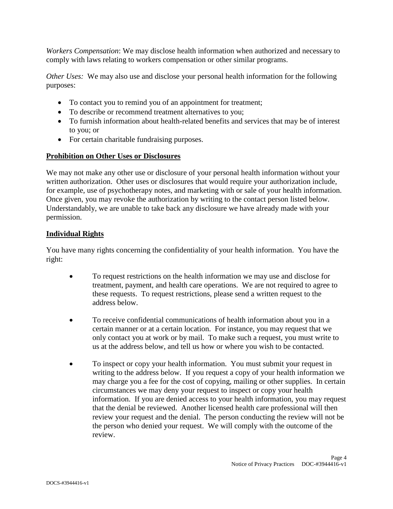*Workers Compensation*: We may disclose health information when authorized and necessary to comply with laws relating to workers compensation or other similar programs.

*Other Uses:* We may also use and disclose your personal health information for the following purposes:

- To contact you to remind you of an appointment for treatment;
- To describe or recommend treatment alternatives to you;
- To furnish information about health-related benefits and services that may be of interest to you; or
- For certain charitable fundraising purposes.

#### **Prohibition on Other Uses or Disclosures**

We may not make any other use or disclosure of your personal health information without your written authorization. Other uses or disclosures that would require your authorization include, for example, use of psychotherapy notes, and marketing with or sale of your health information. Once given, you may revoke the authorization by writing to the contact person listed below. Understandably, we are unable to take back any disclosure we have already made with your permission.

#### **Individual Rights**

You have many rights concerning the confidentiality of your health information. You have the right:

- To request restrictions on the health information we may use and disclose for treatment, payment, and health care operations. We are not required to agree to these requests. To request restrictions, please send a written request to the address below.
- To receive confidential communications of health information about you in a certain manner or at a certain location. For instance, you may request that we only contact you at work or by mail. To make such a request, you must write to us at the address below, and tell us how or where you wish to be contacted.
- To inspect or copy your health information. You must submit your request in writing to the address below. If you request a copy of your health information we may charge you a fee for the cost of copying, mailing or other supplies. In certain circumstances we may deny your request to inspect or copy your health information. If you are denied access to your health information, you may request that the denial be reviewed. Another licensed health care professional will then review your request and the denial. The person conducting the review will not be the person who denied your request. We will comply with the outcome of the review.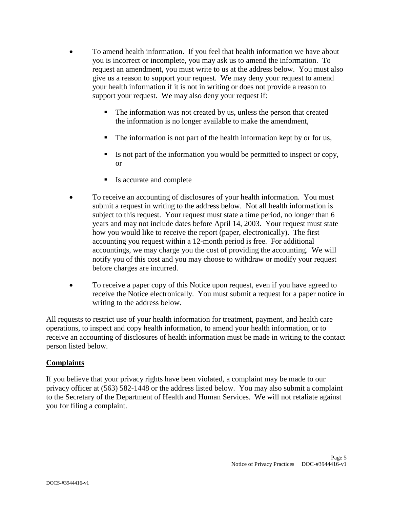- To amend health information. If you feel that health information we have about you is incorrect or incomplete, you may ask us to amend the information. To request an amendment, you must write to us at the address below. You must also give us a reason to support your request. We may deny your request to amend your health information if it is not in writing or does not provide a reason to support your request. We may also deny your request if:
	- The information was not created by us, unless the person that created the information is no longer available to make the amendment,
	- The information is not part of the health information kept by or for us,
	- Is not part of the information you would be permitted to inspect or copy, or
	- Is accurate and complete
- To receive an accounting of disclosures of your health information. You must submit a request in writing to the address below. Not all health information is subject to this request. Your request must state a time period, no longer than 6 years and may not include dates before April 14, 2003. Your request must state how you would like to receive the report (paper, electronically). The first accounting you request within a 12-month period is free. For additional accountings, we may charge you the cost of providing the accounting. We will notify you of this cost and you may choose to withdraw or modify your request before charges are incurred.
- To receive a paper copy of this Notice upon request, even if you have agreed to receive the Notice electronically. You must submit a request for a paper notice in writing to the address below.

All requests to restrict use of your health information for treatment, payment, and health care operations, to inspect and copy health information, to amend your health information, or to receive an accounting of disclosures of health information must be made in writing to the contact person listed below.

#### **Complaints**

If you believe that your privacy rights have been violated, a complaint may be made to our privacy officer at (563) 582-1448 or the address listed below. You may also submit a complaint to the Secretary of the Department of Health and Human Services. We will not retaliate against you for filing a complaint.